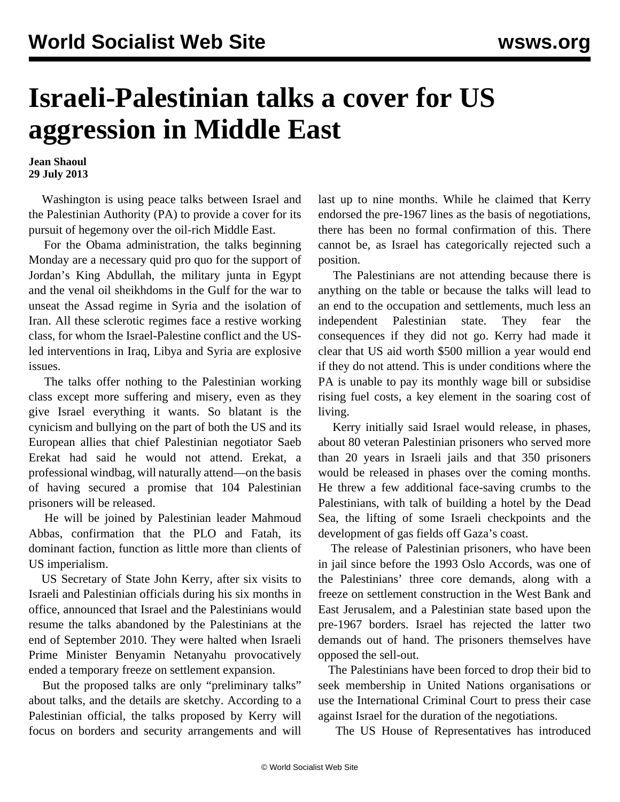## **Israeli-Palestinian talks a cover for US aggression in Middle East**

**Jean Shaoul 29 July 2013**

 Washington is using peace talks between Israel and the Palestinian Authority (PA) to provide a cover for its pursuit of hegemony over the oil-rich Middle East.

 For the Obama administration, the talks beginning Monday are a necessary quid pro quo for the support of Jordan's King Abdullah, the military junta in Egypt and the venal oil sheikhdoms in the Gulf for the war to unseat the Assad regime in Syria and the isolation of Iran. All these sclerotic regimes face a restive working class, for whom the Israel-Palestine conflict and the USled interventions in Iraq, Libya and Syria are explosive issues.

 The talks offer nothing to the Palestinian working class except more suffering and misery, even as they give Israel everything it wants. So blatant is the cynicism and bullying on the part of both the US and its European allies that chief Palestinian negotiator Saeb Erekat had said he would not attend. Erekat, a professional windbag, will naturally attend—on the basis of having secured a promise that 104 Palestinian prisoners will be released.

 He will be joined by Palestinian leader Mahmoud Abbas, confirmation that the PLO and Fatah, its dominant faction, function as little more than clients of US imperialism.

 US Secretary of State John Kerry, after six visits to Israeli and Palestinian officials during his six months in office, announced that Israel and the Palestinians would resume the talks abandoned by the Palestinians at the end of September 2010. They were halted when Israeli Prime Minister Benyamin Netanyahu provocatively ended a temporary freeze on settlement expansion.

 But the proposed talks are only "preliminary talks" about talks, and the details are sketchy. According to a Palestinian official, the talks proposed by Kerry will focus on borders and security arrangements and will last up to nine months. While he claimed that Kerry endorsed the pre-1967 lines as the basis of negotiations, there has been no formal confirmation of this. There cannot be, as Israel has categorically rejected such a position.

 The Palestinians are not attending because there is anything on the table or because the talks will lead to an end to the occupation and settlements, much less an independent Palestinian state. They fear the consequences if they did not go. Kerry had made it clear that US aid worth \$500 million a year would end if they do not attend. This is under conditions where the PA is unable to pay its monthly wage bill or subsidise rising fuel costs, a key element in the soaring cost of living.

 Kerry initially said Israel would release, in phases, about 80 veteran Palestinian prisoners who served more than 20 years in Israeli jails and that 350 prisoners would be released in phases over the coming months. He threw a few additional face-saving crumbs to the Palestinians, with talk of building a hotel by the Dead Sea, the lifting of some Israeli checkpoints and the development of gas fields off Gaza's coast.

 The release of Palestinian prisoners, who have been in jail since before the 1993 Oslo Accords, was one of the Palestinians' three core demands, along with a freeze on settlement construction in the West Bank and East Jerusalem, and a Palestinian state based upon the pre-1967 borders. Israel has rejected the latter two demands out of hand. The prisoners themselves have opposed the sell-out.

 The Palestinians have been forced to drop their bid to seek membership in United Nations organisations or use the International Criminal Court to press their case against Israel for the duration of the negotiations.

The US House of Representatives has introduced